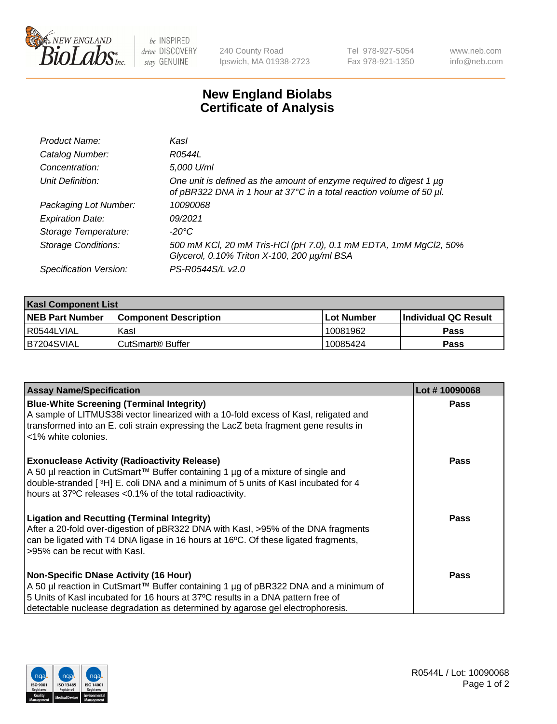

be INSPIRED drive DISCOVERY stay GENUINE

240 County Road Ipswich, MA 01938-2723 Tel 978-927-5054 Fax 978-921-1350

www.neb.com info@neb.com

## **New England Biolabs Certificate of Analysis**

| Product Name:              | Kasl                                                                                                                                             |
|----------------------------|--------------------------------------------------------------------------------------------------------------------------------------------------|
| Catalog Number:            | R0544L                                                                                                                                           |
| Concentration:             | 5,000 U/ml                                                                                                                                       |
| Unit Definition:           | One unit is defined as the amount of enzyme required to digest 1 $\mu$ g<br>of pBR322 DNA in 1 hour at 37°C in a total reaction volume of 50 µl. |
| Packaging Lot Number:      | 10090068                                                                                                                                         |
| <b>Expiration Date:</b>    | 09/2021                                                                                                                                          |
| Storage Temperature:       | -20°C                                                                                                                                            |
| <b>Storage Conditions:</b> | 500 mM KCl, 20 mM Tris-HCl (pH 7.0), 0.1 mM EDTA, 1mM MgCl2, 50%<br>Glycerol, 0.10% Triton X-100, 200 µg/ml BSA                                  |
| Specification Version:     | PS-R0544S/L v2.0                                                                                                                                 |

| <b>Kasl Component List</b> |                              |                   |                             |  |  |
|----------------------------|------------------------------|-------------------|-----------------------------|--|--|
| <b>NEB Part Number</b>     | <b>Component Description</b> | <b>Lot Number</b> | <b>Individual QC Result</b> |  |  |
| I R0544LVIAL               | Kasl                         | 10081962          | <b>Pass</b>                 |  |  |
| B7204SVIAL                 | l CutSmart® Buffer           | 10085424          | Pass                        |  |  |

| <b>Assay Name/Specification</b>                                                                                                                                                                                                                                                                         | Lot #10090068 |
|---------------------------------------------------------------------------------------------------------------------------------------------------------------------------------------------------------------------------------------------------------------------------------------------------------|---------------|
| <b>Blue-White Screening (Terminal Integrity)</b><br>A sample of LITMUS38i vector linearized with a 10-fold excess of Kasl, religated and<br>transformed into an E. coli strain expressing the LacZ beta fragment gene results in<br><1% white colonies.                                                 | <b>Pass</b>   |
| <b>Exonuclease Activity (Radioactivity Release)</b><br>A 50 µl reaction in CutSmart™ Buffer containing 1 µg of a mixture of single and<br>double-stranded [3H] E. coli DNA and a minimum of 5 units of Kasl incubated for 4<br>hours at 37°C releases <0.1% of the total radioactivity.                 | <b>Pass</b>   |
| <b>Ligation and Recutting (Terminal Integrity)</b><br>After a 20-fold over-digestion of pBR322 DNA with Kasl, >95% of the DNA fragments<br>can be ligated with T4 DNA ligase in 16 hours at 16°C. Of these ligated fragments,<br>>95% can be recut with Kasl.                                           | <b>Pass</b>   |
| <b>Non-Specific DNase Activity (16 Hour)</b><br>A 50 µl reaction in CutSmart™ Buffer containing 1 µg of pBR322 DNA and a minimum of<br>5 Units of Kasl incubated for 16 hours at 37°C results in a DNA pattern free of<br>detectable nuclease degradation as determined by agarose gel electrophoresis. | Pass          |